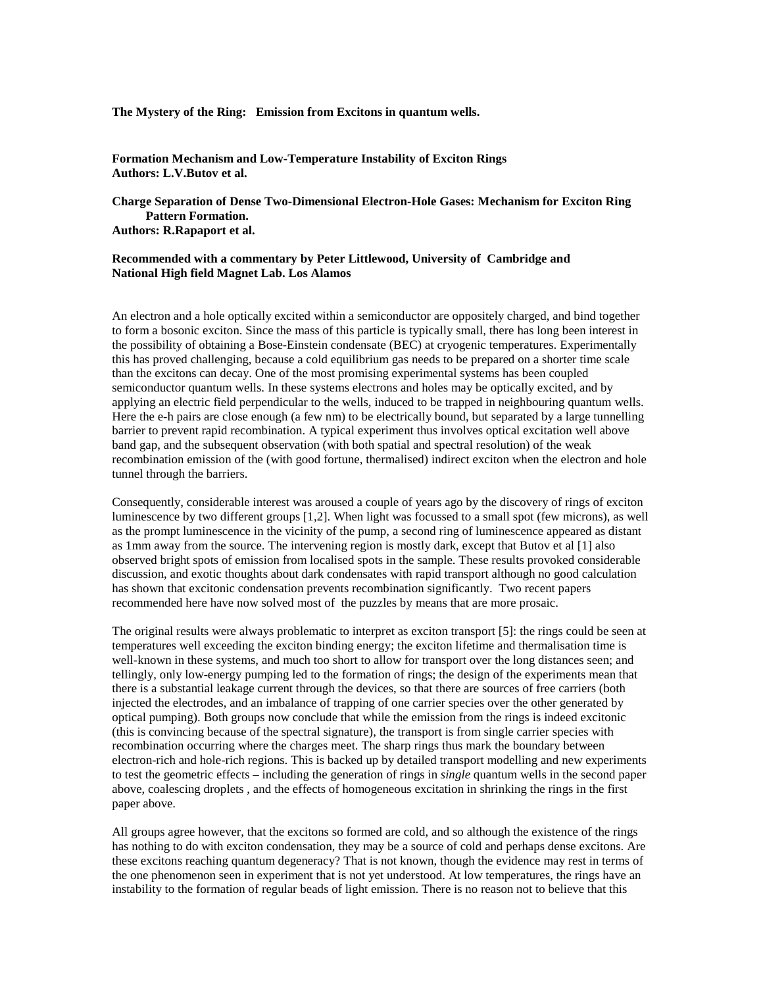**The Mystery of the Ring: Emission from Excitons in quantum wells.**

**Formation Mechanism and Low-Temperature Instability of Exciton Rings Authors: L.V.Butov et al.**

**Charge Separation of Dense Two-Dimensional Electron-Hole Gases: Mechanism for Exciton Ring Pattern Formation. Authors: R.Rapaport et al.**

## **Recommended with a commentary by Peter Littlewood, University of Cambridge and National High field Magnet Lab. Los Alamos**

An electron and a hole optically excited within a semiconductor are oppositely charged, and bind together to form a bosonic exciton. Since the mass of this particle is typically small, there has long been interest in the possibility of obtaining a Bose-Einstein condensate (BEC) at cryogenic temperatures. Experimentally this has proved challenging, because a cold equilibrium gas needs to be prepared on a shorter time scale than the excitons can decay. One of the most promising experimental systems has been coupled semiconductor quantum wells. In these systems electrons and holes may be optically excited, and by applying an electric field perpendicular to the wells, induced to be trapped in neighbouring quantum wells. Here the e-h pairs are close enough (a few nm) to be electrically bound, but separated by a large tunnelling barrier to prevent rapid recombination. A typical experiment thus involves optical excitation well above band gap, and the subsequent observation (with both spatial and spectral resolution) of the weak recombination emission of the (with good fortune, thermalised) indirect exciton when the electron and hole tunnel through the barriers.

Consequently, considerable interest was aroused a couple of years ago by the discovery of rings of exciton luminescence by two different groups [1,2]. When light was focussed to a small spot (few microns), as well as the prompt luminescence in the vicinity of the pump, a second ring of luminescence appeared as distant as 1mm away from the source. The intervening region is mostly dark, except that Butov et al [1] also observed bright spots of emission from localised spots in the sample. These results provoked considerable discussion, and exotic thoughts about dark condensates with rapid transport although no good calculation has shown that excitonic condensation prevents recombination significantly. Two recent papers recommended here have now solved most of the puzzles by means that are more prosaic.

The original results were always problematic to interpret as exciton transport [5]: the rings could be seen at temperatures well exceeding the exciton binding energy; the exciton lifetime and thermalisation time is well-known in these systems, and much too short to allow for transport over the long distances seen; and tellingly, only low-energy pumping led to the formation of rings; the design of the experiments mean that there is a substantial leakage current through the devices, so that there are sources of free carriers (both injected the electrodes, and an imbalance of trapping of one carrier species over the other generated by optical pumping). Both groups now conclude that while the emission from the rings is indeed excitonic (this is convincing because of the spectral signature), the transport is from single carrier species with recombination occurring where the charges meet. The sharp rings thus mark the boundary between electron-rich and hole-rich regions. This is backed up by detailed transport modelling and new experiments to test the geometric effects – including the generation of rings in *single* quantum wells in the second paper above, coalescing droplets , and the effects of homogeneous excitation in shrinking the rings in the first paper above.

All groups agree however, that the excitons so formed are cold, and so although the existence of the rings has nothing to do with exciton condensation, they may be a source of cold and perhaps dense excitons. Are these excitons reaching quantum degeneracy? That is not known, though the evidence may rest in terms of the one phenomenon seen in experiment that is not yet understood. At low temperatures, the rings have an instability to the formation of regular beads of light emission. There is no reason not to believe that this